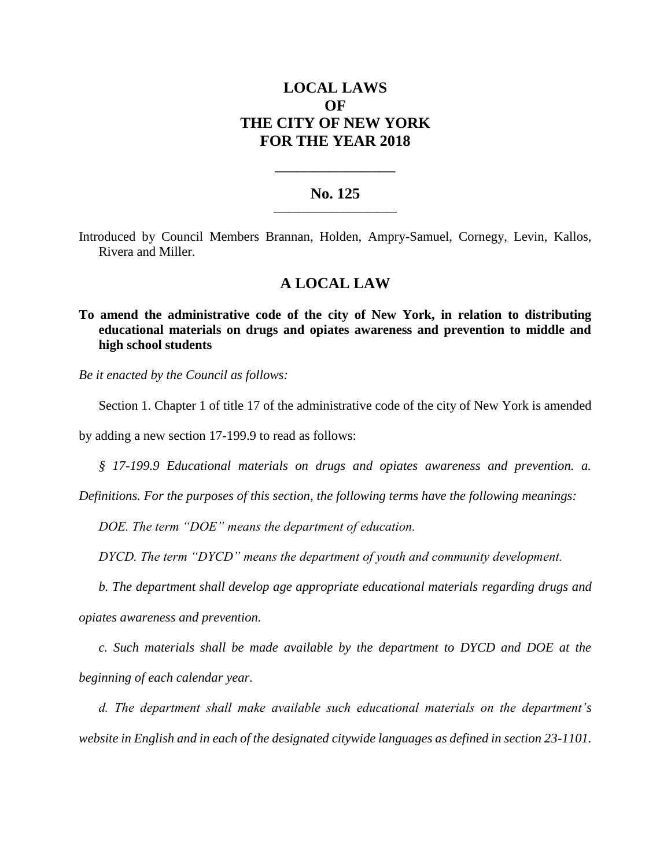# **LOCAL LAWS OF THE CITY OF NEW YORK FOR THE YEAR 2018**

### **No. 125 \_\_\_\_\_\_\_\_\_\_\_\_\_\_\_\_\_\_\_\_\_\_\_\_\_**

**\_\_\_\_\_\_\_\_\_\_\_\_\_\_\_\_\_\_\_\_\_\_**

Introduced by Council Members Brannan, Holden, Ampry-Samuel, Cornegy, Levin, Kallos, Rivera and Miller.

## **A LOCAL LAW**

**To amend the administrative code of the city of New York, in relation to distributing educational materials on drugs and opiates awareness and prevention to middle and high school students**

*Be it enacted by the Council as follows:*

Section 1. Chapter 1 of title 17 of the administrative code of the city of New York is amended

by adding a new section 17-199.9 to read as follows:

*§ 17-199.9 Educational materials on drugs and opiates awareness and prevention. a.* 

*Definitions. For the purposes of this section, the following terms have the following meanings:* 

*DOE. The term "DOE" means the department of education.* 

*DYCD. The term "DYCD" means the department of youth and community development.*

*b. The department shall develop age appropriate educational materials regarding drugs and opiates awareness and prevention.* 

*c. Such materials shall be made available by the department to DYCD and DOE at the beginning of each calendar year.* 

*d. The department shall make available such educational materials on the department's website in English and in each of the designated citywide languages as defined in section 23-1101.*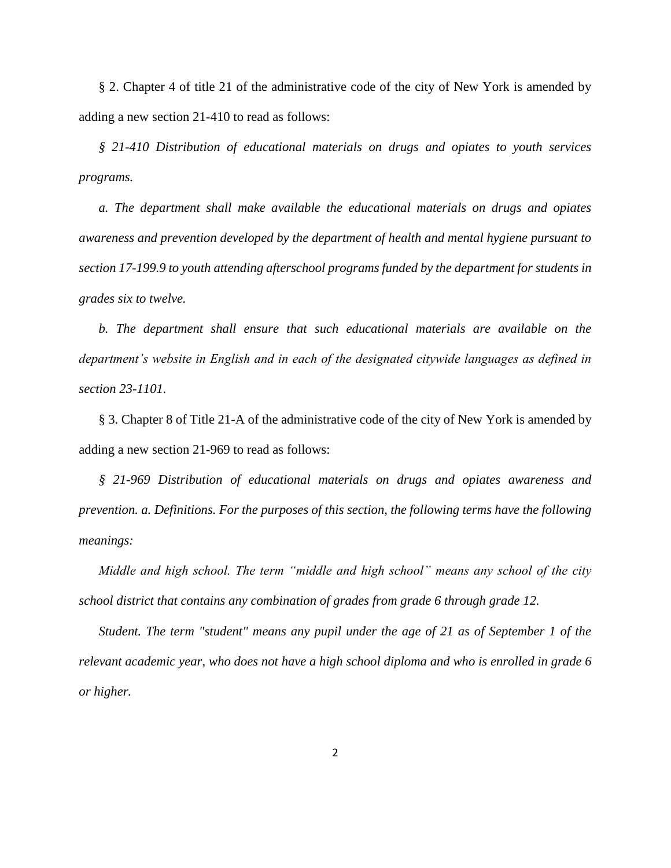§ 2. Chapter 4 of title 21 of the administrative code of the city of New York is amended by adding a new section 21-410 to read as follows:

*§ 21-410 Distribution of educational materials on drugs and opiates to youth services programs.* 

*a. The department shall make available the educational materials on drugs and opiates awareness and prevention developed by the department of health and mental hygiene pursuant to section 17-199.9 to youth attending afterschool programs funded by the department for students in grades six to twelve.* 

*b. The department shall ensure that such educational materials are available on the department's website in English and in each of the designated citywide languages as defined in section 23-1101.* 

§ 3. Chapter 8 of Title 21-A of the administrative code of the city of New York is amended by adding a new section 21-969 to read as follows:

*§ 21-969 Distribution of educational materials on drugs and opiates awareness and prevention. a. Definitions. For the purposes of this section, the following terms have the following meanings:* 

*Middle and high school. The term "middle and high school" means any school of the city school district that contains any combination of grades from grade 6 through grade 12.*

*Student. The term "student" means any pupil under the age of 21 as of September 1 of the relevant academic year, who does not have a high school diploma and who is enrolled in grade 6 or higher.*